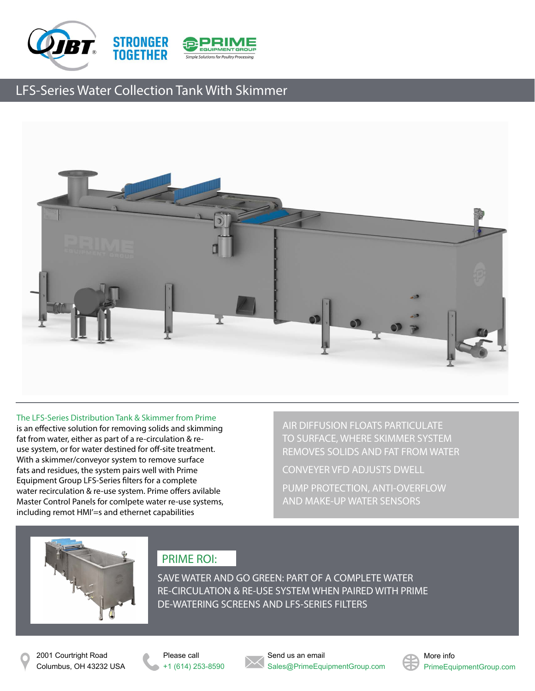



## LFS-Series Water Collection Tank With Skimmer



### The LFS-Series Distribution Tank & Skimmer from Prime

is an effective solution for removing solids and skimming fat from water, either as part of a re-circulation & reuse system, or for water destined for off-site treatment. With a skimmer/conveyor system to remove surface fats and residues, the system pairs well with Prime Equipment Group LFS-Series filters for a complete water recirculation & re-use system. Prime offers avilable Master Control Panels for comlpete water re-use systems, including remot HMI'=s and ethernet capabilities

AIR DIFFUSION FLOATS PARTICULATE TO SURFACE, WHERE SKIMMER SYSTEM REMOVES SOLIDS AND FAT FROM WATER

CONVEYER VFD ADJUSTS DWELL

PUMP PROTECTION, ANTI-OVERFLOW AND MAKE-UP WATER SENSORS



## PRIME ROI:

SAVE WATER AND GO GREEN: PART OF A COMPLETE WATER RE-CIRCULATION & RE-USE SYSTEM WHEN PAIRED WITH PRIME DE-WATERING SCREENS AND LFS-SERIES FILTERS